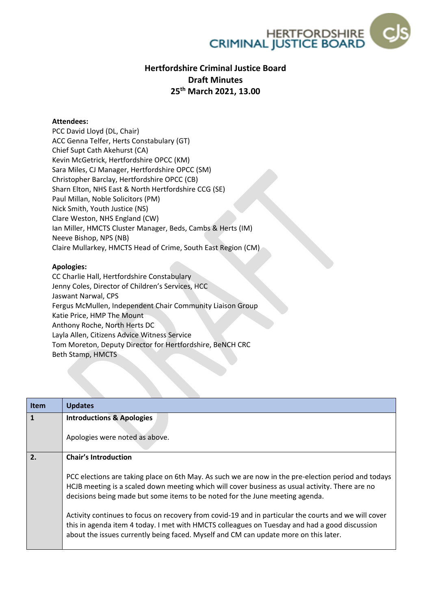

## **Hertfordshire Criminal Justice Board Draft Minutes 25th March 2021, 13.00**

## **Attendees:**

PCC David Lloyd (DL, Chair) ACC Genna Telfer, Herts Constabulary (GT) Chief Supt Cath Akehurst (CA) Kevin McGetrick, Hertfordshire OPCC (KM) Sara Miles, CJ Manager, Hertfordshire OPCC (SM) Christopher Barclay, Hertfordshire OPCC (CB) Sharn Elton, NHS East & North Hertfordshire CCG (SE) Paul Millan, Noble Solicitors (PM) Nick Smith, Youth Justice (NS) Clare Weston, NHS England (CW) Ian Miller, HMCTS Cluster Manager, Beds, Cambs & Herts (IM) Neeve Bishop, NPS (NB) Claire Mullarkey, HMCTS Head of Crime, South East Region (CM)

## **Apologies:**

CC Charlie Hall, Hertfordshire Constabulary Jenny Coles, Director of Children's Services, HCC Jaswant Narwal, CPS Fergus McMullen, Independent Chair Community Liaison Group Katie Price, HMP The Mount Anthony Roche, North Herts DC Layla Allen, Citizens Advice Witness Service Tom Moreton, Deputy Director for Hertfordshire, BeNCH CRC Beth Stamp, HMCTS

| <b>Item</b> | <b>Updates</b>                                                                                                                                                                                                                                                                                |
|-------------|-----------------------------------------------------------------------------------------------------------------------------------------------------------------------------------------------------------------------------------------------------------------------------------------------|
|             | <b>Introductions &amp; Apologies</b>                                                                                                                                                                                                                                                          |
|             |                                                                                                                                                                                                                                                                                               |
|             | Apologies were noted as above.                                                                                                                                                                                                                                                                |
| 2.          | <b>Chair's Introduction</b>                                                                                                                                                                                                                                                                   |
|             | PCC elections are taking place on 6th May. As such we are now in the pre-election period and todays<br>HCJB meeting is a scaled down meeting which will cover business as usual activity. There are no<br>decisions being made but some items to be noted for the June meeting agenda.        |
|             | Activity continues to focus on recovery from covid-19 and in particular the courts and we will cover<br>this in agenda item 4 today. I met with HMCTS colleagues on Tuesday and had a good discussion<br>about the issues currently being faced. Myself and CM can update more on this later. |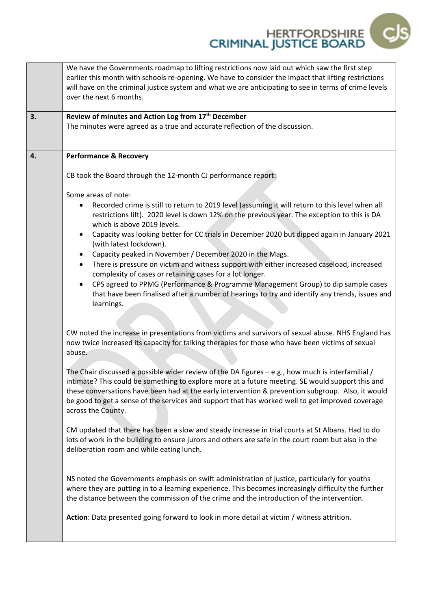HERTFORDSHIRE - Cl

|    | We have the Governments roadmap to lifting restrictions now laid out which saw the first step<br>earlier this month with schools re-opening. We have to consider the impact that lifting restrictions<br>will have on the criminal justice system and what we are anticipating to see in terms of crime levels<br>over the next 6 months.                                                                                              |
|----|----------------------------------------------------------------------------------------------------------------------------------------------------------------------------------------------------------------------------------------------------------------------------------------------------------------------------------------------------------------------------------------------------------------------------------------|
| 3. | Review of minutes and Action Log from 17th December                                                                                                                                                                                                                                                                                                                                                                                    |
|    | The minutes were agreed as a true and accurate reflection of the discussion.                                                                                                                                                                                                                                                                                                                                                           |
| 4. | <b>Performance &amp; Recovery</b>                                                                                                                                                                                                                                                                                                                                                                                                      |
|    | CB took the Board through the 12-month CJ performance report:                                                                                                                                                                                                                                                                                                                                                                          |
|    | Some areas of note:                                                                                                                                                                                                                                                                                                                                                                                                                    |
|    | Recorded crime is still to return to 2019 level (assuming it will return to this level when all<br>٠<br>restrictions lift). 2020 level is down 12% on the previous year. The exception to this is DA<br>which is above 2019 levels.                                                                                                                                                                                                    |
|    | Capacity was looking better for CC trials in December 2020 but dipped again in January 2021<br>$\bullet$<br>(with latest lockdown).                                                                                                                                                                                                                                                                                                    |
|    | Capacity peaked in November / December 2020 in the Mags.<br>$\bullet$                                                                                                                                                                                                                                                                                                                                                                  |
|    | There is pressure on victim and witness support with either increased caseload, increased<br>$\bullet$<br>complexity of cases or retaining cases for a lot longer.                                                                                                                                                                                                                                                                     |
|    | CPS agreed to PPMG (Performance & Programme Management Group) to dip sample cases<br>$\bullet$<br>that have been finalised after a number of hearings to try and identify any trends, issues and                                                                                                                                                                                                                                       |
|    | learnings.                                                                                                                                                                                                                                                                                                                                                                                                                             |
|    |                                                                                                                                                                                                                                                                                                                                                                                                                                        |
|    | CW noted the increase in presentations from victims and survivors of sexual abuse. NHS England has<br>now twice increased its capacity for talking therapies for those who have been victims of sexual<br>abuse.                                                                                                                                                                                                                       |
|    |                                                                                                                                                                                                                                                                                                                                                                                                                                        |
|    | The Chair discussed a possible wider review of the DA figures $-$ e.g., how much is interfamilial /<br>intimate? This could be something to explore more at a future meeting. SE would support this and<br>these conversations have been had at the early intervention & prevention subgroup. Also, it would<br>be good to get a sense of the services and support that has worked well to get improved coverage<br>across the County. |
|    | CM updated that there has been a slow and steady increase in trial courts at St Albans. Had to do<br>lots of work in the building to ensure jurors and others are safe in the court room but also in the<br>deliberation room and while eating lunch.                                                                                                                                                                                  |
|    | NS noted the Governments emphasis on swift administration of justice, particularly for youths<br>where they are putting in to a learning experience. This becomes increasingly difficulty the further<br>the distance between the commission of the crime and the introduction of the intervention.                                                                                                                                    |
|    | Action: Data presented going forward to look in more detail at victim / witness attrition.                                                                                                                                                                                                                                                                                                                                             |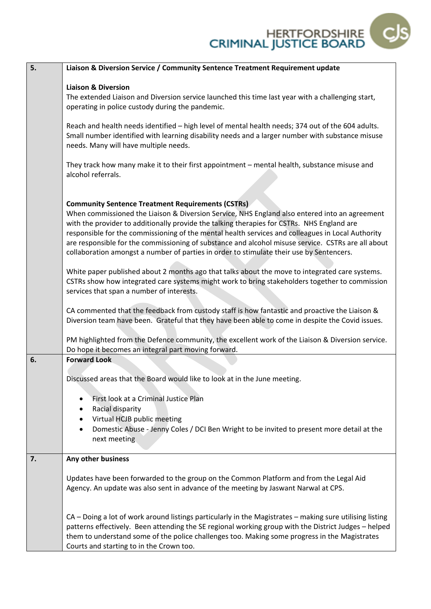

| 5. | Liaison & Diversion Service / Community Sentence Treatment Requirement update                                                                                                                                                                                                                                                                                                                                                                                                                      |
|----|----------------------------------------------------------------------------------------------------------------------------------------------------------------------------------------------------------------------------------------------------------------------------------------------------------------------------------------------------------------------------------------------------------------------------------------------------------------------------------------------------|
|    | <b>Liaison &amp; Diversion</b>                                                                                                                                                                                                                                                                                                                                                                                                                                                                     |
|    | The extended Liaison and Diversion service launched this time last year with a challenging start,<br>operating in police custody during the pandemic.                                                                                                                                                                                                                                                                                                                                              |
|    | Reach and health needs identified - high level of mental health needs; 374 out of the 604 adults.<br>Small number identified with learning disability needs and a larger number with substance misuse<br>needs. Many will have multiple needs.                                                                                                                                                                                                                                                     |
|    | They track how many make it to their first appointment - mental health, substance misuse and<br>alcohol referrals.                                                                                                                                                                                                                                                                                                                                                                                 |
|    | <b>Community Sentence Treatment Requirements (CSTRs)</b>                                                                                                                                                                                                                                                                                                                                                                                                                                           |
|    | When commissioned the Liaison & Diversion Service, NHS England also entered into an agreement<br>with the provider to additionally provide the talking therapies for CSTRs. NHS England are<br>responsible for the commissioning of the mental health services and colleagues in Local Authority<br>are responsible for the commissioning of substance and alcohol misuse service. CSTRs are all about<br>collaboration amongst a number of parties in order to stimulate their use by Sentencers. |
|    | White paper published about 2 months ago that talks about the move to integrated care systems.<br>CSTRs show how integrated care systems might work to bring stakeholders together to commission<br>services that span a number of interests.                                                                                                                                                                                                                                                      |
|    | CA commented that the feedback from custody staff is how fantastic and proactive the Liaison &<br>Diversion team have been. Grateful that they have been able to come in despite the Covid issues.                                                                                                                                                                                                                                                                                                 |
|    | PM highlighted from the Defence community, the excellent work of the Liaison & Diversion service.<br>Do hope it becomes an integral part moving forward.                                                                                                                                                                                                                                                                                                                                           |
| 6. | <b>Forward Look</b>                                                                                                                                                                                                                                                                                                                                                                                                                                                                                |
|    |                                                                                                                                                                                                                                                                                                                                                                                                                                                                                                    |
|    | Discussed areas that the Board would like to look at in the June meeting.                                                                                                                                                                                                                                                                                                                                                                                                                          |
|    | First look at a Criminal Justice Plan                                                                                                                                                                                                                                                                                                                                                                                                                                                              |
|    | Racial disparity                                                                                                                                                                                                                                                                                                                                                                                                                                                                                   |
|    | Virtual HCJB public meeting                                                                                                                                                                                                                                                                                                                                                                                                                                                                        |
|    | Domestic Abuse - Jenny Coles / DCI Ben Wright to be invited to present more detail at the<br>next meeting                                                                                                                                                                                                                                                                                                                                                                                          |
| 7. | Any other business                                                                                                                                                                                                                                                                                                                                                                                                                                                                                 |
|    |                                                                                                                                                                                                                                                                                                                                                                                                                                                                                                    |
|    | Updates have been forwarded to the group on the Common Platform and from the Legal Aid<br>Agency. An update was also sent in advance of the meeting by Jaswant Narwal at CPS.                                                                                                                                                                                                                                                                                                                      |
|    | CA - Doing a lot of work around listings particularly in the Magistrates - making sure utilising listing<br>patterns effectively. Been attending the SE regional working group with the District Judges - helped<br>them to understand some of the police challenges too. Making some progress in the Magistrates<br>Courts and starting to in the Crown too.                                                                                                                                      |